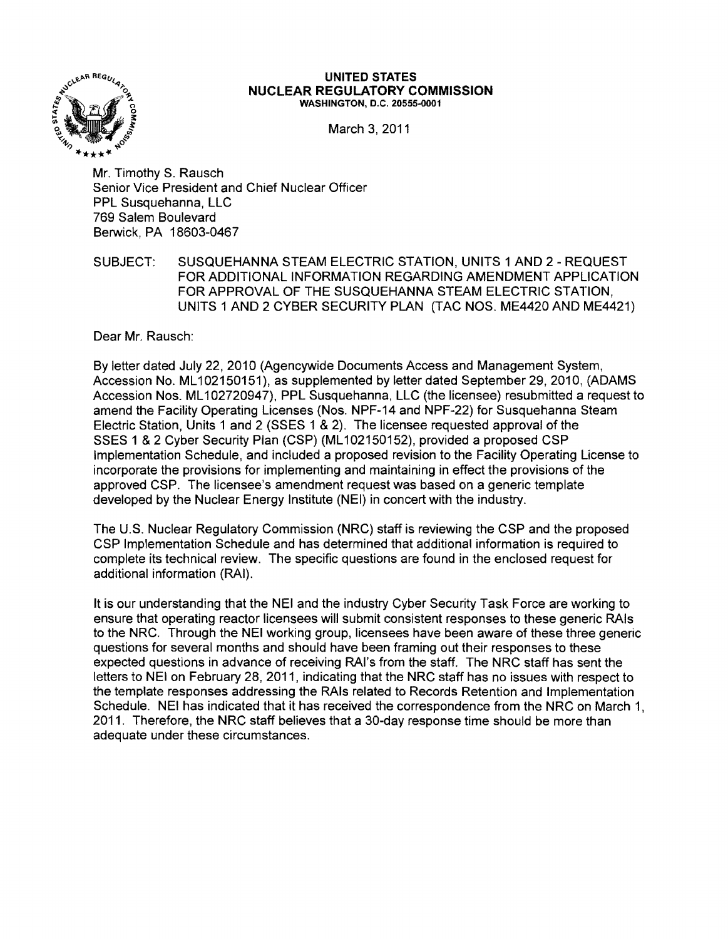

#### **UNITED STATES NUCLEAR REGULATORY COMMISSION** WASHINGTON, D.C. 20555-0001

March 3, 2011

Mr. Timothy S. Rausch Senior Vice President and Chief Nuclear Officer PPL Susquehanna, LLC 769 Salem Boulevard Berwick, PA 18603-0467

SUBJECT: SUSQUEHANNA STEAM ELECTRIC STATION, UNITS 1 AND 2 - REQUEST FOR ADDITIONAL INFORMATION REGARDING AMENDMENT APPLICATION FOR APPROVAL OF THE SUSQUEHANNA STEAM ELECTRIC STATION, UNITS 1 AND 2 CYBER SECURITY PLAN (TAC NOS. ME4420 AND ME4421)

Dear Mr. Rausch:

By letter dated July 22, 2010 (Agencywide Documents Access and Management System, Accession No. ML102150151), as supplemented by letter dated September 29, 2010, (ADAMS Accession Nos. ML 102720947). PPL Susquehanna, LLC (the licensee) resubmitted a request to amend the Facility Operating Licenses (Nos. NPF-14 and NPF-22) for Susquehanna Steam Electric Station, Units 1 and 2 (SSES 1 & 2). The licensee requested approval of the SSES 1 &2 Cyber Security Plan (CSP) (ML 102150152), provided a proposed CSP Implementation Schedule, and included a proposed revision to the Facility Operating License to incorporate the provisions for implementing and maintaining in effect the provisions of the approved CSP. The licensee's amendment request was based on a generic template developed by the Nuclear Energy Institute (NEI) in concert with the industry.

The U.S. Nuclear Regulatory Commission (NRC) staff is reviewing the CSP and the proposed CSP Implementation Schedule and has determined that additional information is required to complete its technical review. The specific questions are found in the enclosed request for additional information (RAI).

It is our understanding that the NEI and the industry Cyber Security Task Force are working to ensure that operating reactor licensees will submit consistent responses to these generic RAls to the NRC. Through the NEI working group. licensees have been aware of these three generic questions for several months and should have been framing out their responses to these expected questions in advance of receiving RAJ's from the staff. The NRC staff has sent the letters to NEI on February 28, 2011, indicating that the NRC staff has no issues with respect to the template responses addressing the RAls related to Records Retention and Implementation Schedule. NEI has indicated that it has received the correspondence from the NRC on March 1, 2011. Therefore, the NRC staff believes that a 30-day response time should be more than adequate under these circumstances.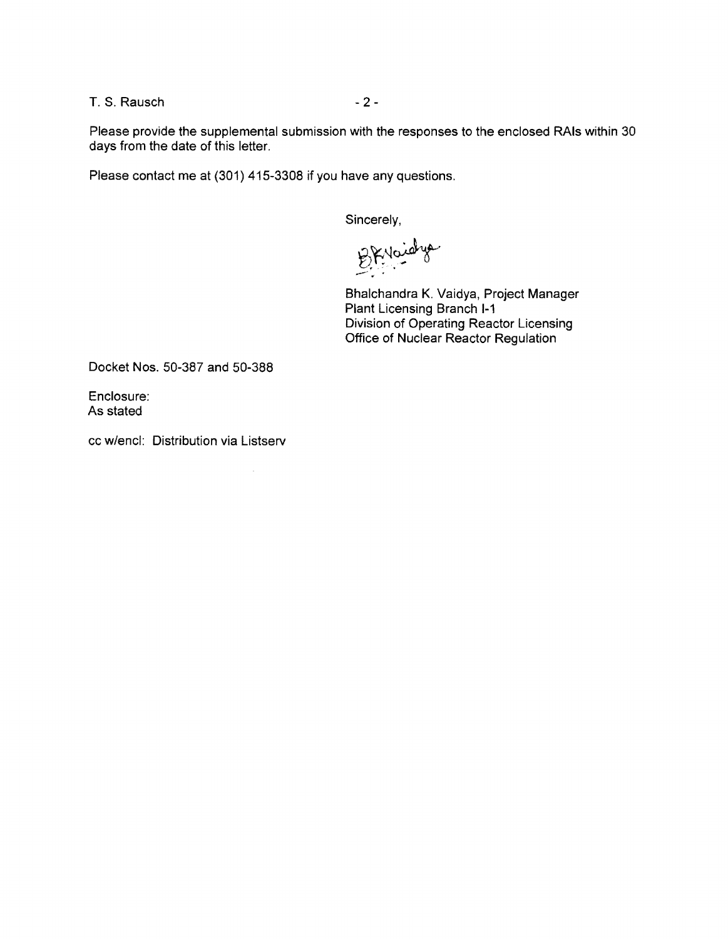T. S. Rausch - 2

Please provide the supplemental submission with the responses to the enclosed RAls within 30 days from the date of this letter.

Please contact me at (301) 415-3308 if you have any questions.

Sincerely,

BKVaidys

Bhalchandra K. Vaidya, Project Manager Plant Licensing Branch 1-1 Division of Operating Reactor Licensing Office of Nuclear Reactor Regulation

Docket Nos. 50-387 and 50-388

Enclosure: As stated

cc w/encl: Distribution via Listserv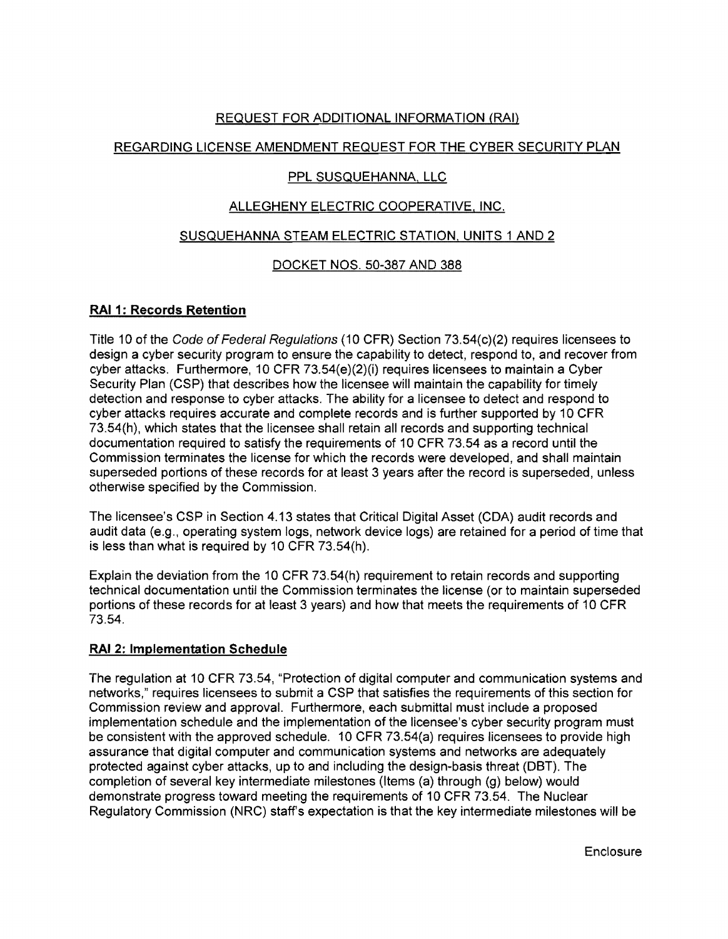# REQUEST FOR ADDITIONAL INFORMATION (RAI)

# REGARDING LICENSE AMENDMENT REQUEST FOR THE CYBER SECURITY PLAN

### **PPL SUSQUEHANNA, LLC**

# ALLEGHENY ELECTRIC COOPERATIVE, INC.

### SUSQUEHANNA STEAM ELECTRIC STATION, UNITS 1 AND 2

# DOCKET NOS. 50-387 AND 388

# **RAI 1: Records Retention**

Title 10 of the Code of Federal Regulations (10 CFR) Section 73.54(c)(2) requires licensees to design a cyber security program to ensure the capability to detect, respond to, and recover from cyber attacks. Furthermore, 10 CFR 73.54(e)(2)(i) requires licensees to maintain a Cyber Security Plan (CSP) that describes how the licensee will maintain the capability for timely detection and response to cyber attacks. The ability for a licensee to detect and respond to cyber attacks requires accurate and complete records and is further supported by 10 CFR 73.54(h), which states that the licensee shall retain all records and supporting technical documentation required to satisfy the requirements of 10 CFR 73.54 as a record until the Commission terminates the license for which the records were developed, and shall maintain superseded portions of these records for at least 3 years after the record is superseded, unless otherwise specified by the Commission.

The licensee's CSP in Section 4.13 states that Critical Digital Asset (CDA) audit records and audit data (e.g., operating system logs, network device logs) are retained for a period of time that is less than what is required by 10 CFR 73.54(h).

Explain the deviation from the 10 CFR 73.54(h) requirement to retain records and supporting technical documentation until the Commission terminates the license (or to maintain superseded portions of these records for at least 3 years) and how that meets the requirements of 10 CFR 73.54.

# **RAI 2: Implementation Schedule**

The regulation at 10 CFR 73.54, "Protection of digital computer and communication systems and networks," requires licensees to submit a CSP that satisfies the requirements of this section for Commission review and approval. Furthermore, each submittal must include a proposed implementation schedule and the implementation of the licensee's cyber security program must be consistent with the approved schedule. 10 CFR 73.54(a) requires licensees to provide high assurance that digital computer and communication systems and networks are adequately protected against cyber attacks, up to and including the design-basis threat (DBT). The completion of several key intermediate milestones (Items (a) through (g) below) would demonstrate progress toward meeting the requirements of 10 CFR 73.54. The Nuclear Regulatory Commission (NRC) staff's expectation is that the key intermediate milestones will be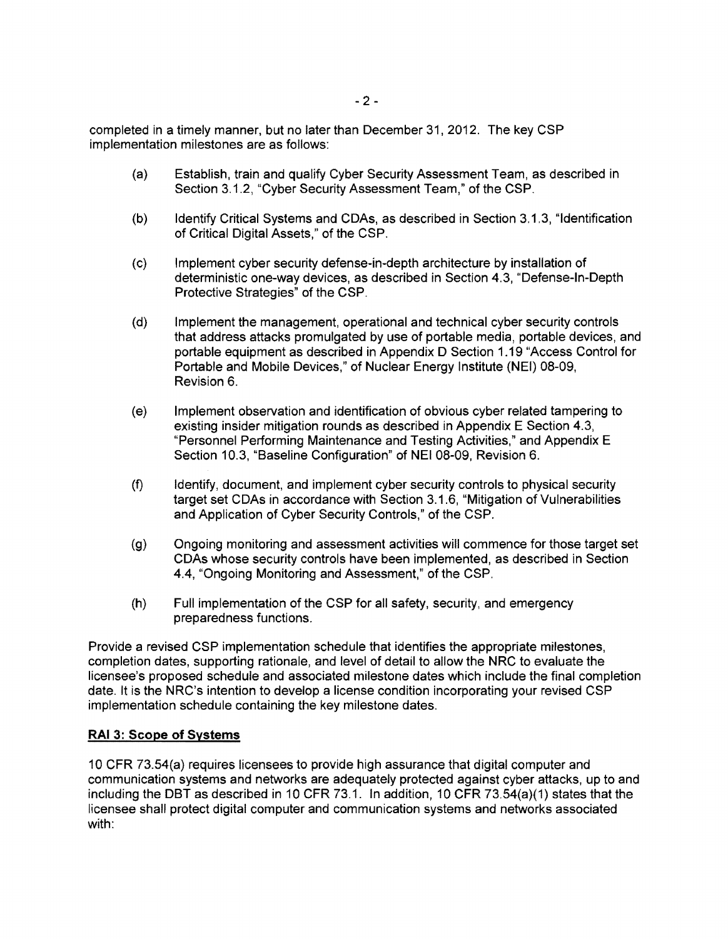completed in a timely manner, but no later than December 31,2012. The key CSP implementation milestones are as follows:

- (a) Establish, train and qualify Cyber Security Assessment Team, as described in Section 3.1.2, "Cyber Security Assessment Team," of the CSP.
- (b) Identify Critical Systems and CDAs, as described in Section 3.1.3, "Identification of Critical Digital Assets," of the CSP.
- (c) Implement cyber security defense-in-depth architecture by installation of deterministic one-way devices, as described in Section 4.3, "Defense-In-Depth Protective Strategies" of the CSP.
- (d) Implement the management, operational and technical cyber security controls that address attacks promulgated by use of portable media, portable devices, and portable equipment as described in Appendix D Section 1.19 "Access Control for Portable and Mobile Devices," of Nuclear Energy Institute (NEI) 08-09, Revision 6.
- (e) Implement observation and identification of obvious cyber related tampering to existing insider mitigation rounds as described in Appendix E Section 4.3, "Personnel Performing Maintenance and Testing Activities," and Appendix E Section 10.3, "Baseline Configuration" of NEI 08-09, Revision 6.
- (f) Identify, document, and implement cyber security controls to physical security target set CDAs in accordance with Section 3.1.6, "Mitigation of Vulnerabilities and Application of Cyber Security Controls," of the CSP.
- (g) Ongoing monitoring and assessment activities will commence for those target set CDAs whose security controls have been implemented, as described in Section 4.4, "Ongoing Monitoring and Assessment," of the CSP.
- (h) Full implementation of the CSP for all safety, security, and emergency preparedness functions.

Provide a revised CSP implementation schedule that identifies the appropriate milestones, completion dates, supporting rationale, and level of detail to allow the NRC to evaluate the licensee's proposed schedule and associated milestone dates which include the final completion date. It is the NRC's intention to develop a license condition incorporating your revised CSP implementation schedule containing the key milestone dates.

# **RAI 3: Scope of Systems**

10 CFR 73.S4(a) requires licensees to provide high assurance that digital computer and communication systems and networks are adequately protected against cyber attacks, up to and including the DBT as described in 10 CFR 73.1. In addition, 10 CFR 73.S4(a)(1) states that the licensee shall protect digital computer and communication systems and networks associated with: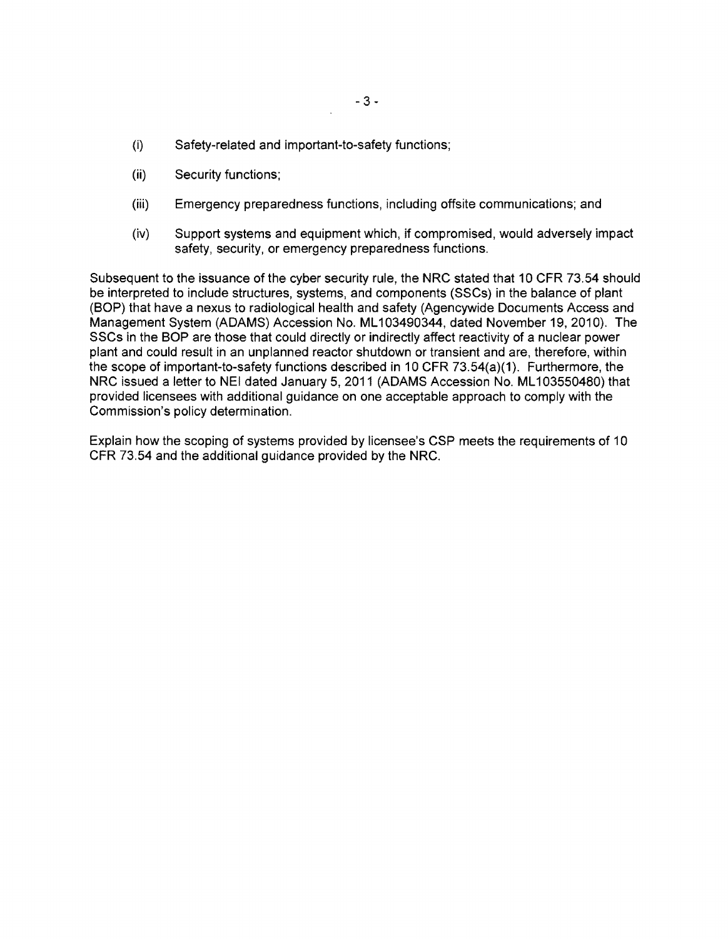- (i) Safety-related and important-to-safety functions;
- (ii) Security functions;
- (iii) Emergency preparedness functions, including offsite communications; and
- (iv) Support systems and equipment which, if compromised, would adversely impact safety, security, or emergency preparedness functions.

Subsequent to the issuance of the cyber security rule, the NRC stated that 10 CFR 73.54 should be interpreted to include structures, systems, and components (SSCs) in the balance of plant (BOP) that have a nexus to radiological health and safety (Agencywide Documents Access and Management System (ADAMS) Accession No. **ML**103490344, dated November 19, 2010). The SSCs in the **BOP** are those that could directly or indirectly affect reactivity of a nuclear power plant and could result in an unplanned reactor shutdown or transient and are, therefore, within the scope of important-to-safety functions described in 10 CFR 73.54(a)(1). Furthermore, the NRC issued a letter to NEI dated January 5, 2011 (ADAMS Accession No. **ML**103550480) that provided licensees with additional guidance on one acceptable approach to comply with the Commission's policy determination.

Explain how the scoping of systems provided by licensee's CSP meets the requirements of 10 CFR 73.54 and the additional guidance provided by the NRC.